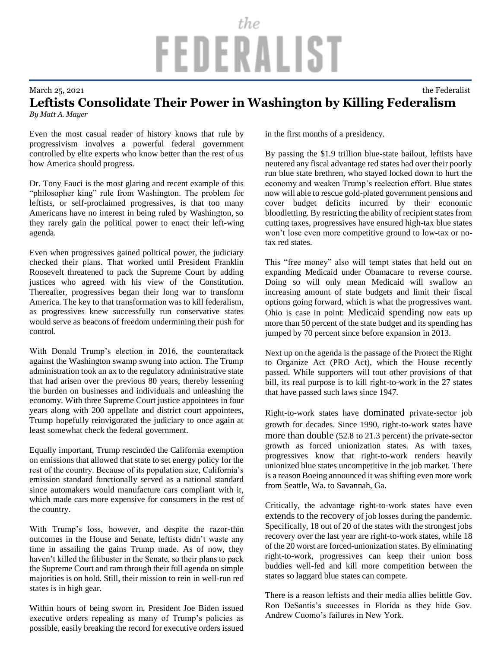## the FEDERALIST

## March 25, 2021 the Federalist

## **Leftists Consolidate Their Power in Washington by Killing Federalism**

*By Matt A. Mayer*

Even the most casual reader of history knows that rule by progressivism involves a powerful federal government controlled by elite experts who know better than the rest of us how America should progress.

Dr. Tony Fauci is the most glaring and recent example of this "philosopher king" rule from Washington. The problem for leftists, or self-proclaimed progressives, is that too many Americans have no interest in being ruled by Washington, so they rarely gain the political power to enact their left-wing agenda.

Even when progressives gained political power, the judiciary checked their plans. That worked until President Franklin Roosevelt threatened to pack the Supreme Court by adding justices who agreed with his view of the Constitution. Thereafter, progressives began their long war to transform America. The key to that transformation was to kill federalism, as progressives knew successfully run conservative states would serve as beacons of freedom undermining their push for control.

With Donald Trump's election in 2016, the counterattack against the Washington swamp swung into action. The Trump administration took an ax to the regulatory administrative state that had arisen over the previous 80 years, thereby lessening the burden on businesses and individuals and unleashing the economy. With three Supreme Court justice appointees in four years along with 200 appellate and district court appointees, Trump hopefully reinvigorated the judiciary to once again at least somewhat check the federal government.

Equally important, Trump rescinded the California exemption on emissions that allowed that state to set energy policy for the rest of the country. Because of its population size, California's emission standard functionally served as a national standard since automakers would manufacture cars compliant with it, which made cars more expensive for consumers in the rest of the country.

With Trump's loss, however, and despite the razor-thin outcomes in the House and Senate, leftists didn't waste any time in assailing the gains Trump made. As of now, they haven't killed the filibuster in the Senate, so their plans to pack the Supreme Court and ram through their full agenda on simple majorities is on hold. Still, their mission to rein in well-run red states is in high gear.

Within hours of being sworn in, President Joe Biden issued executive orders repealing as many of Trump's policies as possible, easily breaking the record for executive orders issued in the first months of a presidency.

By passing the \$1.9 trillion blue-state bailout, leftists have neutered any fiscal advantage red states had over their poorly run blue state brethren, who stayed locked down to hurt the economy and weaken Trump's reelection effort. Blue states now will able to rescue gold-plated government pensions and cover budget deficits incurred by their economic bloodletting. By restricting the ability of recipient states from cutting taxes, progressives have ensured high-tax blue states won't lose even more competitive ground to low-tax or notax red states.

This "free money" also will tempt states that held out on expanding Medicaid under Obamacare to reverse course. Doing so will only mean Medicaid will swallow an increasing amount of state budgets and limit their fiscal options going forward, which is what the progressives want. Ohio is case in point: [Medicaid spending](http://www.opportunityohio.org/wp-content/uploads/2021/02/MED202102.pdf) now eats up more than 50 percent of the state budget and its spending has jumped by 70 percent since before expansion in 2013.

Next up on the agenda is the passage of the Protect the Right to Organize Act (PRO Act), which the House recently passed. While supporters will tout other provisions of that bill, its real purpose is to kill right-to-work in the 27 states that have passed such laws since 1947.

Right-to-work states have [dominated](http://www.opportunityohio.org/wp-content/uploads/2021/02/RTW202101.pdf) private-sector job growth for decades. Since 1990, right-to-work states [have](http://www.opportunityohio.org/wp-content/uploads/2021/02/OWFR202101.pdf)  [more than double](http://www.opportunityohio.org/wp-content/uploads/2021/02/OWFR202101.pdf) (52.8 to 21.3 percent) the private-sector growth as forced unionization states. As with taxes, progressives know that right-to-work renders heavily unionized blue states uncompetitive in the job market. There is a reason Boeing announced it was shifting even more work from Seattle, Wa. to Savannah, Ga.

Critically, the advantage right-to-work states have even [extends to the recovery](http://www.opportunityohio.org/wp-content/uploads/2021/02/WuhanImpact11.pdf) of job losses during the pandemic. Specifically, 18 out of 20 of the states with the strongest jobs recovery over the last year are right-to-work states, while 18 of the 20 worst are forced-unionization states. By eliminating right-to-work, progressives can keep their union boss buddies well-fed and kill more competition between the states so laggard blue states can compete.

There is a reason leftists and their media allies belittle Gov. Ron DeSantis's successes in Florida as they hide Gov. Andrew Cuomo's failures in New York.